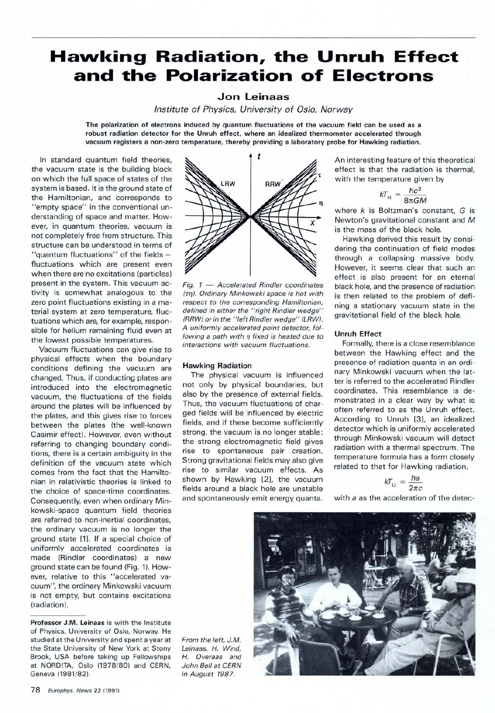# **Hawking Radiation, the Unruh Effect and the Polarization of Electrons**

## **Jon Leinaas**

*Institute of Physics, University of Oslo, Norway*

**The polarization of electrons induced by quantum fluctuations of the vacuum field can be used as a robust radiation detector for the Unruh effect, where an idealized thermometer accelerated through vacuum registers a non-zero temperature, thereby providing a laboratory probe for Hawking radiation.**

In standard quantum field theories, the vacuum state is the building block on which the full space of states of the system is based. It is the ground state of the Hamiltonian, and corresponds to "empty space" in the conventional understanding of space and matter. However, in quantum theories, vacuum is not completely free from structure. This structure can be understood in terms of "quantum fluctuations" of the fields fluctuations which are present even when there are no excitations (particles) present in the system. This vacuum activity is somewhat analogous to the zero point fluctuations existing in a material system at zero temperature, fluctuations which are, for example, responsible for helium remaining fluid even at the lowest possible temperatures.

Vacuum fluctuations can give rise to physical effects when the boundary conditions defining the vacuum are changed. Thus, if conducting plates are introduced into the electromagnetic vacuum, the fluctuations of the fields around the plates will be influenced by the plates, and this gives rise to forces between the plates (the well-known Casimir effect). However, even without referring to changing boundary conditions, there is a certain ambiguity in the definition of the vacuum state which comes from the fact that the Hamiltonian in relativistic theories is linked to the choice of space-time coordinates. Consequently, even when ordinary Minkowski-space quantum field theories are referred to non-inertial coordinates, the ordinary vacuum is no longer the ground state [1]. If a special choice of uniformly accelerated coordinates is made (Rindler coordinates) a new ground state can be found (Fig. 1). However, relative to this "accelerated vacuum", the ordinary Minkowski vacuum is not empty, but contains excitations (radiation).



*Fig. 1* **—** *Accelerated Rindler coordinates (τη). Ordinary Minkowski space is hot with respect to the corresponding Hamiltonian, defined in either the " right Rindler wedge" (RRW) or in the "left Rindler wedge" (LRW). A uniformly accelerated point detector, following a path with η fixed is heated due to interactions with vacuum fluctuations.*

#### **Hawking Radiation**

The physical vacuum is influenced not only by physical boundaries, but also by the presence of external fields. Thus, the vacuum fluctuations of charged fields will be influenced by electric fields, and if these become sufficiently strong, the vacuum is no longer stable: the strong electromagnetic field gives rise to spontaneous pair creation. Strong gravitational fields may also give rise to similar vacuum effects. As shown by Hawking [2], the vacuum fields around a black hole are unstable and spontaneously emit energy quanta.

An interesting feature of this theoretical effect is that the radiation is thermal, with the temperature given by

$$
kT_{\rm H} = \frac{\hbar c^3}{8\pi GM}
$$

where *k* is Boltzman's constant, *G* is Newton's gravitational constant and *M* is the mass of the black hole.

Hawking derived this result by considering the continuation of field modes through a collapsing massive body. However, it seems clear that such an effect is also present for an eternal black hole, and the presence of radiation is then related to the problem of defining a stationary vacuum state in the gravitational field of the black hole.

#### **Unruh Effect**

Formally, there is a close resemblance between the Hawking effect and the presence of radiation quanta in an ordinary Minkowski vacuum when the latter is referred to the accelerated Rindler coordinates. This resemblance is demonstrated in a clear way by what is often referred to as the Unruh effect. According to Unruh [3], an idealized detector which is uniformly accelerated through Minkowski vacuum will detect radiation with a thermal spectrum. The temperature formula has a form closely related to that for Hawking radiation,

$$
kT_{\rm U} = \frac{\hbar a}{2\pi c}
$$

with *a* as the acceleration of the detec-





**Professor J.M. Leinaas** is with the Institute of Physics, University of Oslo, Norway. He studied at the University and spent a year at the State University of New York at Stony Brook, USA before taking up Fellowships at NORDITA, Oslo (1978/80) and CERN, Geneva (1981/82).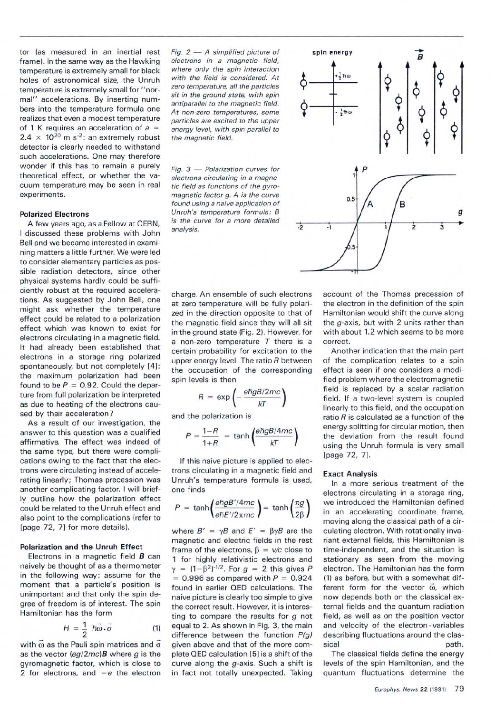tor (as measured in an inertial rest frame). In the same way as the Hawking temperature is extremely small for black holes of astronomical size, the Unruh temperature is extremely small for "normal" accelerations. By inserting numbers into the temperature formula one realizes that even a modest temperature of 1 K requires an acceleration of  $a =$ 2.4  $\times$  10<sup>20</sup> m s<sup>-2</sup>: an extremely robust detector is clearly needed to withstand such accelerations. One may therefore wonder if this has to remain a purely theoretical effect, or whether the vacuum temperature may be seen in real experiments.

#### **Polarized Electrons**

A few years ago, as a Fellow at CERN, I discussed these problems with John Bell and we became interested in examining matters a little further. We were led to consider elementary particles as possible radiation detectors, since other physical systems hardly could be sufficiently robust at the required accelerations. As suggested by John Bell, one might ask whether the temperature effect could be related to a polarization effect which was known to exist for electrons circulating in a magnetic field. It had already been established that electrons in a storage ring polarized spontaneously, but not completely [4] : the maximum polarization had been found to be  $P = 0.92$ . Could the departure from full polarization be interpreted as due to heating of the electrons caused by their acceleration ?

As a result of our investigation, the answer to this question was a qualified affirmative. The effect was indeed of the same type, but there were complications owing to the fact that the electrons were circulating instead of accelerating linearly; Thomas precession was another complicating factor. I will briefly outline how the polarization effect could be related to the Unruh effect and also point to the complications (refer to [page 72, 7] for more details).

#### **Polarization and the Unruh Effect**

Electrons in a magnetic field *B* can naively be thought of as a thermometer in the following way: assume for the moment that a particle's position is unimportant and that only the spin degree of freedom is of interest. The spin Hamiltonian has the form

$$
H = \frac{1}{2} \; \hbar \vec{\omega} \cdot \vec{\sigma} \qquad (1)
$$

with  $\omega$  as the Pauli spin matrices and  $\sigma$ as the vector *(eg/2mc)B* where *g* is the gyromagnetic factor, which is close to 2 for electrons, and  $-e$  the electron *Fig. 2* — *A simplified picture of electrons in a magnetic field, where only the spin interaction with the field is considered. At zero temperature, all the particles sit in the ground state, with spin antiparallel to the magnetic field. At non-zero temperatures, some particles are excited to the upper energy level, with spin parallel to the magnetic field.*

*Fig. 3* — *Polarization curves for electrons circulating in a magnetic field as functions of the gyromagnetic factor g. A is the curve found using a naive application of Unruh's temperature formula : B is the curve for a more detailed analysis.*

charge. An ensemble of such electrons at zero temperature will be fully polarized in the direction opposite to that of the magnetic field since they will all sit in the ground state (Fig. 2). However, for a non-zero temperature *T* there is a certain probability for excitation to the upper energy level. The ratio *R* between the occupation of the corresponding spin levels is then

$$
R = \exp\left(-\frac{e\hbar gB/2mc}{kT}\right)
$$

and the polarization is

$$
P = \frac{1 - R}{1 + R} = \tanh\left(\frac{e\hbar g B/4mc}{kT}\right)
$$

If this naive picture is applied to electrons circulating in a magnetic field and Unruh's temperature formula is used, one finds

$$
P = \tanh\left(\frac{e\hbar g B'/4mc}{e\hbar E'/2\pi mc}\right) = \tanh\left(\frac{\pi g}{2\beta}\right)
$$

where  $B' = \gamma B$  and  $E' = \beta \gamma B$  are the magnetic and electric fields in the rest frame of the electrons, β = *v/c* close to 1 for highly relativistic electrons and  $γ = (1 - β<sup>2</sup>)<sup>-1/2</sup>$ . For  $g = 2$  this gives P  $= 0.996$  as compared with  $P = 0.924$ found in earlier QED calculations. The naive picture is clearly too simple to give the correct result. However, it is interesting to compare the results for *g* not equal to 2. As shown in Fig. 3, the main difference between the function *P(g)* given above and that of the more complete QED calculation [5] is a shift of the curve along the g-axis. Such a shift is in fact not totally unexpected. Taking



account of the Thomas precession of the electron in the definition of the spin Hamiltonian would shift the curve along the g-axis, but with 2 units rather than with about 1.2 which seems to be more correct.

Another indication that the main part of the complication relates to a spin effect is seen if one considers a modified problem where the electromagnetic field is replaced by a scalar radiation field. If a two-level system is coupled linearly to this field, and the occupation ratio *R* is calculated as a function of the energy splitting for circular motion, then the deviation from the result found using the Unruh formula is very small [page 72, 7].

#### **Exact Analysis**

In a more serious treatment of the electrons circulating in a storage ring, we introduced the Hamiltonian defined in an accelerating coordinate frame, moving along the classical path of a circulating electron. With rotationally invariant external fields, this Hamiltonian is time-independent, and the situation is stationary as seen from the moving electron. The Hamiltonian has the form (1) as before, but with a somewhat different form for the vector  $\vec{\omega}$ , which now depends both on the classical external fields and the quantum radiation field, as well as on the position vector and velocity of the electron-variables describing fluctuations around the classical path.

The classical fields define the energy levels of the spin Hamiltonian, and the quantum fluctuations determine the